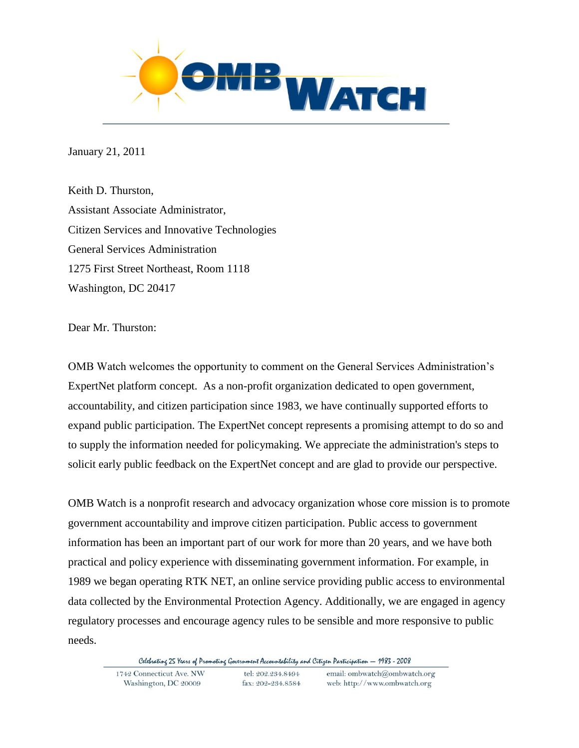

January 21, 2011

Keith D. Thurston, Assistant Associate Administrator, Citizen Services and Innovative Technologies General Services Administration 1275 First Street Northeast, Room 1118 Washington, DC 20417

Dear Mr. Thurston:

OMB Watch welcomes the opportunity to comment on the General Services Administration's ExpertNet platform concept. As a non-profit organization dedicated to open government, accountability, and citizen participation since 1983, we have continually supported efforts to expand public participation. The ExpertNet concept represents a promising attempt to do so and to supply the information needed for policymaking. We appreciate the administration's steps to solicit early public feedback on the ExpertNet concept and are glad to provide our perspective.

OMB Watch is a nonprofit research and advocacy organization whose core mission is to promote government accountability and improve citizen participation. Public access to government information has been an important part of our work for more than 20 years, and we have both practical and policy experience with disseminating government information. For example, in 1989 we began operating RTK NET, an online service providing public access to environmental data collected by the Environmental Protection Agency. Additionally, we are engaged in agency regulatory processes and encourage agency rules to be sensible and more responsive to public needs.

Celebrating 25 Years of Promoting Government Accountability and Citizen Participation - 1983 - 2008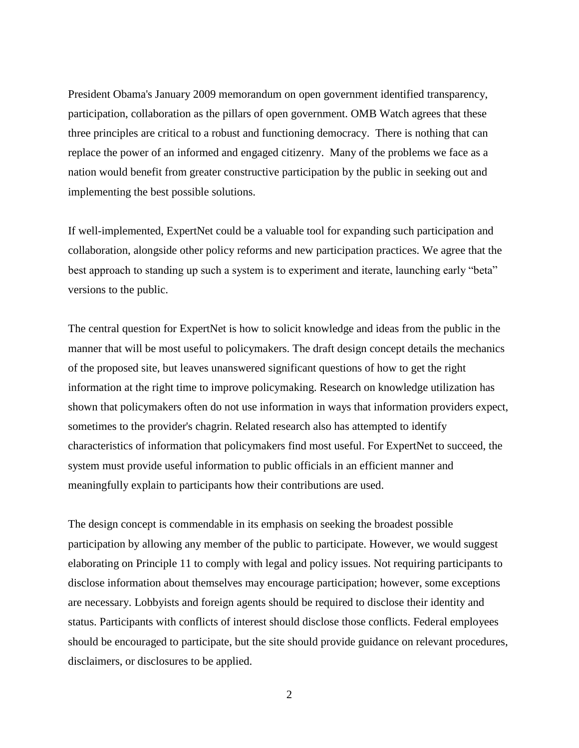President Obama's January 2009 memorandum on open government identified transparency, participation, collaboration as the pillars of open government. OMB Watch agrees that these three principles are critical to a robust and functioning democracy. There is nothing that can replace the power of an informed and engaged citizenry. Many of the problems we face as a nation would benefit from greater constructive participation by the public in seeking out and implementing the best possible solutions.

If well-implemented, ExpertNet could be a valuable tool for expanding such participation and collaboration, alongside other policy reforms and new participation practices. We agree that the best approach to standing up such a system is to experiment and iterate, launching early "beta" versions to the public.

The central question for ExpertNet is how to solicit knowledge and ideas from the public in the manner that will be most useful to policymakers. The draft design concept details the mechanics of the proposed site, but leaves unanswered significant questions of how to get the right information at the right time to improve policymaking. Research on knowledge utilization has shown that policymakers often do not use information in ways that information providers expect, sometimes to the provider's chagrin. Related research also has attempted to identify characteristics of information that policymakers find most useful. For ExpertNet to succeed, the system must provide useful information to public officials in an efficient manner and meaningfully explain to participants how their contributions are used.

The design concept is commendable in its emphasis on seeking the broadest possible participation by allowing any member of the public to participate. However, we would suggest elaborating on Principle 11 to comply with legal and policy issues. Not requiring participants to disclose information about themselves may encourage participation; however, some exceptions are necessary. Lobbyists and foreign agents should be required to disclose their identity and status. Participants with conflicts of interest should disclose those conflicts. Federal employees should be encouraged to participate, but the site should provide guidance on relevant procedures, disclaimers, or disclosures to be applied.

2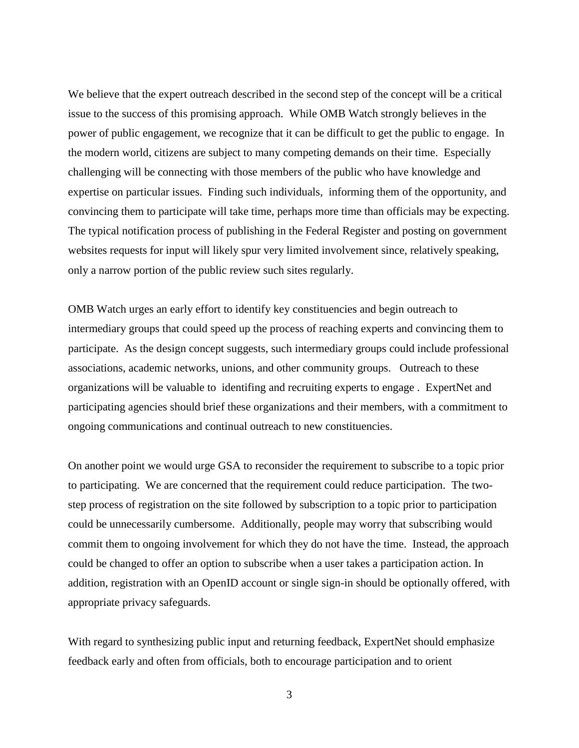We believe that the expert outreach described in the second step of the concept will be a critical issue to the success of this promising approach. While OMB Watch strongly believes in the power of public engagement, we recognize that it can be difficult to get the public to engage. In the modern world, citizens are subject to many competing demands on their time. Especially challenging will be connecting with those members of the public who have knowledge and expertise on particular issues. Finding such individuals, informing them of the opportunity, and convincing them to participate will take time, perhaps more time than officials may be expecting. The typical notification process of publishing in the Federal Register and posting on government websites requests for input will likely spur very limited involvement since, relatively speaking, only a narrow portion of the public review such sites regularly.

OMB Watch urges an early effort to identify key constituencies and begin outreach to intermediary groups that could speed up the process of reaching experts and convincing them to participate. As the design concept suggests, such intermediary groups could include professional associations, academic networks, unions, and other community groups. Outreach to these organizations will be valuable to identifing and recruiting experts to engage . ExpertNet and participating agencies should brief these organizations and their members, with a commitment to ongoing communications and continual outreach to new constituencies.

On another point we would urge GSA to reconsider the requirement to subscribe to a topic prior to participating. We are concerned that the requirement could reduce participation. The twostep process of registration on the site followed by subscription to a topic prior to participation could be unnecessarily cumbersome. Additionally, people may worry that subscribing would commit them to ongoing involvement for which they do not have the time. Instead, the approach could be changed to offer an option to subscribe when a user takes a participation action. In addition, registration with an OpenID account or single sign-in should be optionally offered, with appropriate privacy safeguards.

With regard to synthesizing public input and returning feedback, ExpertNet should emphasize feedback early and often from officials, both to encourage participation and to orient

3